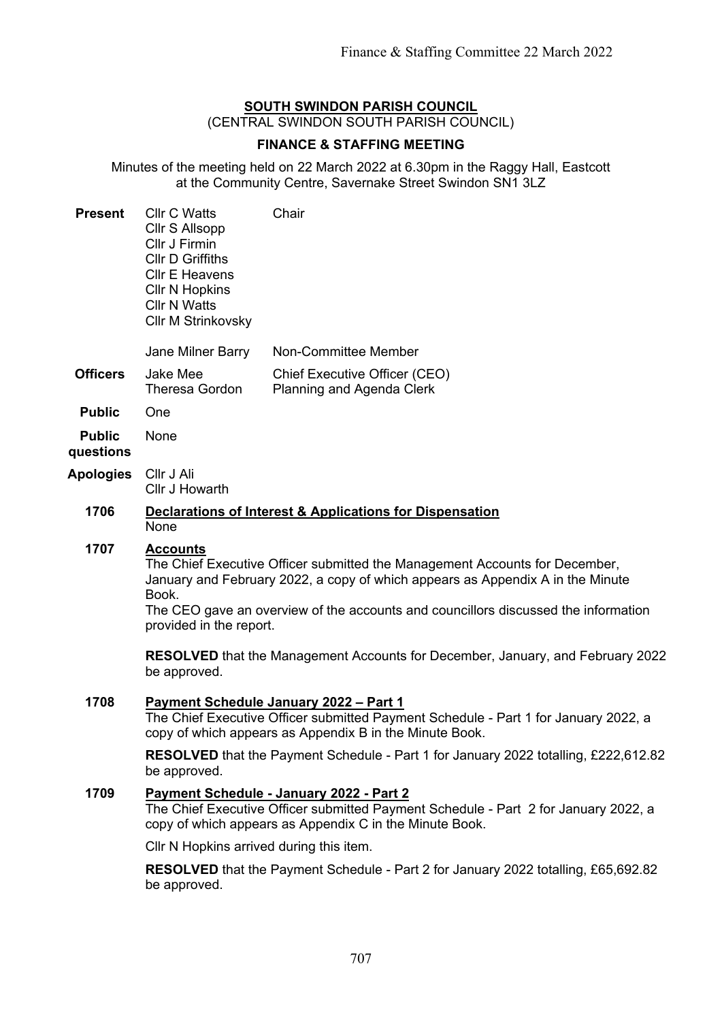#### **SOUTH SWINDON PARISH COUNCIL** (CENTRAL SWINDON SOUTH PARISH COUNCIL)

### **FINANCE & STAFFING MEETING**

Minutes of the meeting held on 22 March 2022 at 6.30pm in the Raggy Hall, Eastcott at the Community Centre, Savernake Street Swindon SN1 3LZ

| <b>Present</b>             | <b>Cllr C Watts</b><br>Cllr S Allsopp<br>Cllr J Firmin<br><b>CIIr D Griffiths</b><br><b>CIIr E Heavens</b><br><b>CIIr N Hopkins</b><br><b>Cllr N Watts</b><br><b>Cllr M Strinkovsky</b>                                                                                                                    | Chair                                                                                     |  |
|----------------------------|------------------------------------------------------------------------------------------------------------------------------------------------------------------------------------------------------------------------------------------------------------------------------------------------------------|-------------------------------------------------------------------------------------------|--|
|                            | Jane Milner Barry                                                                                                                                                                                                                                                                                          | Non-Committee Member                                                                      |  |
| <b>Officers</b>            | <b>Jake Mee</b><br><b>Theresa Gordon</b>                                                                                                                                                                                                                                                                   | Chief Executive Officer (CEO)<br>Planning and Agenda Clerk                                |  |
| <b>Public</b>              | One                                                                                                                                                                                                                                                                                                        |                                                                                           |  |
| <b>Public</b><br>questions | None                                                                                                                                                                                                                                                                                                       |                                                                                           |  |
| <b>Apologies</b>           | Cllr J Ali<br>Cllr J Howarth                                                                                                                                                                                                                                                                               |                                                                                           |  |
| 1706                       | <b>Declarations of Interest &amp; Applications for Dispensation</b><br>None                                                                                                                                                                                                                                |                                                                                           |  |
| 1707                       | <b>Accounts</b><br>The Chief Executive Officer submitted the Management Accounts for December,<br>January and February 2022, a copy of which appears as Appendix A in the Minute<br>Book.<br>The CEO gave an overview of the accounts and councillors discussed the information<br>provided in the report. |                                                                                           |  |
|                            | <b>RESOLVED</b> that the Management Accounts for December, January, and February 2022<br>be approved.                                                                                                                                                                                                      |                                                                                           |  |
| 1708                       | <b>Payment Schedule January 2022 - Part 1</b><br>The Chief Executive Officer submitted Payment Schedule - Part 1 for January 2022, a<br>copy of which appears as Appendix B in the Minute Book.                                                                                                            |                                                                                           |  |
|                            | RESOLVED that the Payment Schedule - Part 1 for January 2022 totalling, £222,612.82<br>be approved.                                                                                                                                                                                                        |                                                                                           |  |
| 1709                       | <b>Payment Schedule - January 2022 - Part 2</b><br>The Chief Executive Officer submitted Payment Schedule - Part 2 for January 2022, a<br>copy of which appears as Appendix C in the Minute Book.                                                                                                          |                                                                                           |  |
|                            | CIIr N Hopkins arrived during this item.                                                                                                                                                                                                                                                                   |                                                                                           |  |
|                            | be approved.                                                                                                                                                                                                                                                                                               | <b>RESOLVED</b> that the Payment Schedule - Part 2 for January 2022 totalling, £65,692.82 |  |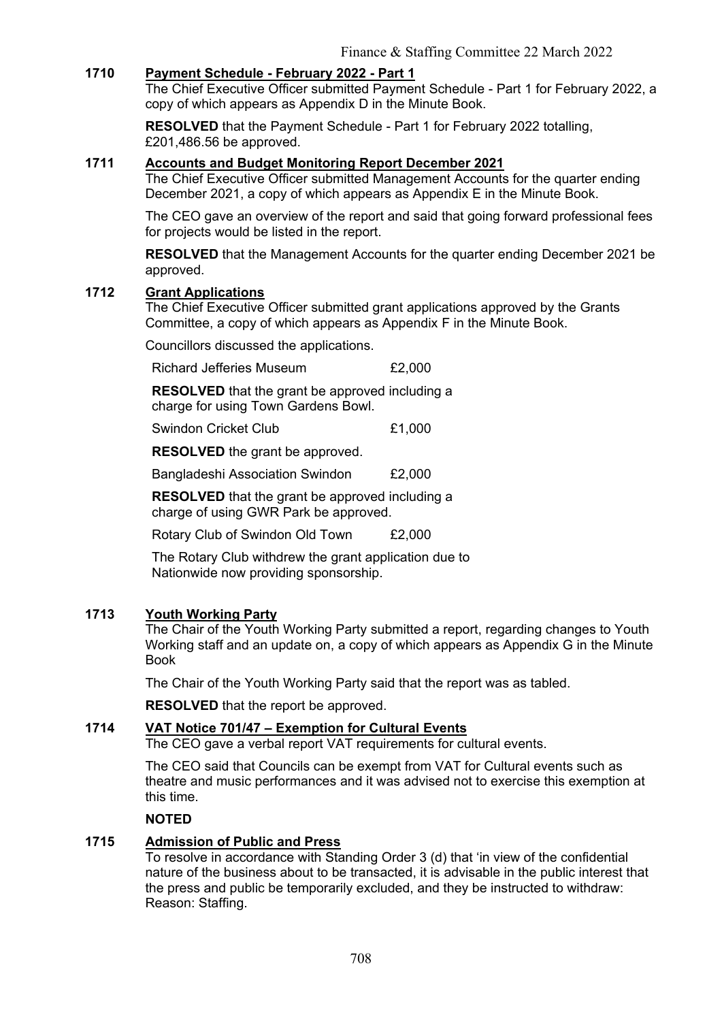## **1710 Payment Schedule - February 2022 - Part 1**

The Chief Executive Officer submitted Payment Schedule - Part 1 for February 2022, a copy of which appears as Appendix D in the Minute Book.

**RESOLVED** that the Payment Schedule - Part 1 for February 2022 totalling, £201,486.56 be approved.

## **1711 Accounts and Budget Monitoring Report December 2021**

The Chief Executive Officer submitted Management Accounts for the quarter ending December 2021, a copy of which appears as Appendix E in the Minute Book.

The CEO gave an overview of the report and said that going forward professional fees for projects would be listed in the report.

**RESOLVED** that the Management Accounts for the quarter ending December 2021 be approved.

#### **1712 Grant Applications**

The Chief Executive Officer submitted grant applications approved by the Grants Committee, a copy of which appears as Appendix F in the Minute Book.

Councillors discussed the applications.

Richard Jefferies Museum £2,000

**RESOLVED** that the grant be approved including a charge for using Town Gardens Bowl.

Swindon Cricket Club £1,000

**RESOLVED** the grant be approved.

Bangladeshi Association Swindon £2,000

**RESOLVED** that the grant be approved including a charge of using GWR Park be approved.

Rotary Club of Swindon Old Town £2,000

The Rotary Club withdrew the grant application due to Nationwide now providing sponsorship.

## **1713 Youth Working Party**

The Chair of the Youth Working Party submitted a report, regarding changes to Youth Working staff and an update on, a copy of which appears as Appendix G in the Minute Book

The Chair of the Youth Working Party said that the report was as tabled.

**RESOLVED** that the report be approved.

### **1714 VAT Notice 701/47 – Exemption for Cultural Events**

The CEO gave a verbal report VAT requirements for cultural events.

The CEO said that Councils can be exempt from VAT for Cultural events such as theatre and music performances and it was advised not to exercise this exemption at this time.

## **NOTED**

## **1715 Admission of Public and Press**

To resolve in accordance with Standing Order 3 (d) that 'in view of the confidential nature of the business about to be transacted, it is advisable in the public interest that the press and public be temporarily excluded, and they be instructed to withdraw: Reason: Staffing.